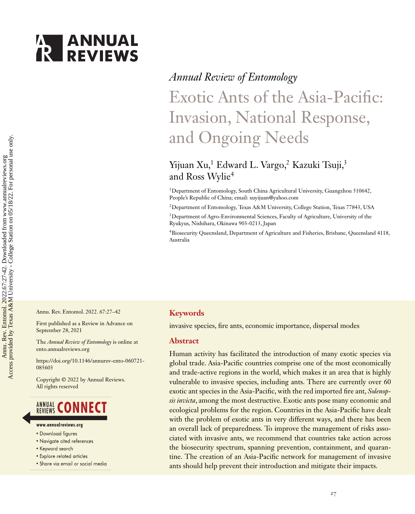# **ANNUAL**<br>**REVIEWS**

# *Annual Review of Entomology* Exotic Ants of the Asia-Pacific: Invasion, National Response, and Ongoing Needs

### Yijuan Xu,<sup>1</sup> Edward L. Vargo,<sup>2</sup> Kazuki Tsuji,<sup>3</sup> and Ross Wylie<sup>4</sup>

<sup>1</sup>Department of Entomology, South China Agricultural University, Guangzhou 510642, People's Republic of China; email: [xuyijuan@yahoo.com](mailto:xuyijuan@yahoo.com)

2Department of Entomology, Texas A&M University, College Station, Texas 77843, USA

3Department of Agro-Environmental Sciences, Faculty of Agriculture, University of the Ryukyus, Nishihara, Okinawa 903-0213, Japan

4Biosecurity Queensland, Department of Agriculture and Fisheries, Brisbane, Queensland 4118, Australia

Annu. Rev. Entomol. 2022. 67:27–42

First published as a Review in Advance on September 28, 2021

The *Annual Review of Entomology* is online at ento.annualreviews.org

[https://doi.org/10.1146/annurev-ento-060721-](https://doi.org/10.1146/annurev-ento-060721-085603) 085603

Copyright © 2022 by Annual Reviews. All rights reserved

### **ANNUAL CONNECT**

- www.annualreviews.org
- · Download figures
- Navigate cited references
- Keyword search
- Explore related articles
- · Share via email or social media

#### **Keywords**

invasive species, fire ants, economic importance, dispersal modes

#### **Abstract**

Human activity has facilitated the introduction of many exotic species via global trade. Asia-Pacific countries comprise one of the most economically and trade-active regions in the world, which makes it an area that is highly vulnerable to invasive species, including ants. There are currently over 60 exotic ant species in the Asia-Pacific, with the red imported fire ant, *Solenopsis invicta*, among the most destructive. Exotic ants pose many economic and ecological problems for the region. Countries in the Asia-Pacific have dealt with the problem of exotic ants in very different ways, and there has been an overall lack of preparedness. To improve the management of risks associated with invasive ants, we recommend that countries take action across the biosecurity spectrum, spanning prevention, containment, and quarantine. The creation of an Asia-Pacific network for management of invasive ants should help prevent their introduction and mitigate their impacts.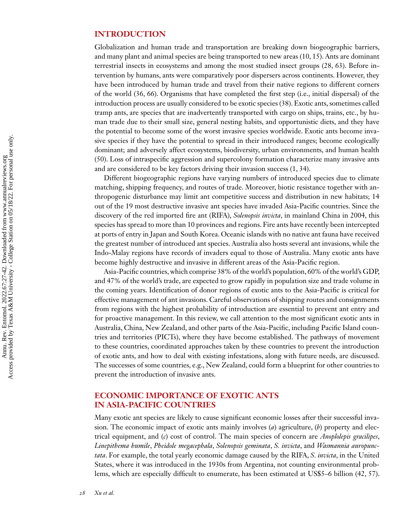#### **INTRODUCTION**

Globalization and human trade and transportation are breaking down biogeographic barriers, and many plant and animal species are being transported to new areas [\(10, 15\)](#page-11-0). Ants are dominant terrestrial insects in ecosystems and among the most studied insect groups [\(28,](#page-12-0) [63\)](#page-13-0). Before intervention by humans, ants were comparatively poor dispersers across continents. However, they have been introduced by human trade and travel from their native regions to different corners of the world [\(36,](#page-12-0) [66\)](#page-14-0). Organisms that have completed the first step (i.e., initial dispersal) of the introduction process are usually considered to be exotic species [\(38\)](#page-12-0). Exotic ants, sometimes called tramp ants, are species that are inadvertently transported with cargo on ships, trains, etc., by human trade due to their small size, general nesting habits, and opportunistic diets, and they have the potential to become some of the worst invasive species worldwide. Exotic ants become invasive species if they have the potential to spread in their introduced ranges; become ecologically dominant; and adversely affect ecosystems, biodiversity, urban environments, and human health [\(50\)](#page-13-0). Loss of intraspecific aggression and supercolony formation characterize many invasive ants and are considered to be key factors driving their invasion success [\(1,](#page-11-0) [34\)](#page-12-0).

Different biogeographic regions have varying numbers of introduced species due to climate matching, shipping frequency, and routes of trade. Moreover, biotic resistance together with anthropogenic disturbance may limit ant competitive success and distribution in new habitats; 14 out of the 19 most destructive invasive ant species have invaded Asia-Pacific countries. Since the discovery of the red imported fire ant (RIFA), *Solenopsis invicta*, in mainland China in 2004, this species has spread to more than 10 provinces and regions. Fire ants have recently been intercepted at ports of entry in Japan and South Korea. Oceanic islands with no native ant fauna have received the greatest number of introduced ant species. Australia also hosts several ant invasions, while the Indo-Malay regions have records of invaders equal to those of Australia. Many exotic ants have become highly destructive and invasive in different areas of the Asia-Pacific region.

Asia-Pacific countries, which comprise 38% of the world's population, 60% of the world's GDP, and 47% of the world's trade, are expected to grow rapidly in population size and trade volume in the coming years. Identification of donor regions of exotic ants to the Asia-Pacific is critical for effective management of ant invasions. Careful observations of shipping routes and consignments from regions with the highest probability of introduction are essential to prevent ant entry and for proactive management. In this review, we call attention to the most significant exotic ants in Australia, China, New Zealand, and other parts of the Asia-Pacific, including Pacific Island countries and territories (PICTs), where they have become established. The pathways of movement to these countries, coordinated approaches taken by these countries to prevent the introduction of exotic ants, and how to deal with existing infestations, along with future needs, are discussed. The successes of some countries, e.g., New Zealand, could form a blueprint for other countries to prevent the introduction of invasive ants.

#### **ECONOMIC IMPORTANCE OF EXOTIC ANTS IN ASIA-PACIFIC COUNTRIES**

Many exotic ant species are likely to cause significant economic losses after their successful invasion. The economic impact of exotic ants mainly involves (*a*) agriculture, (*b*) property and electrical equipment, and (*c*) cost of control. The main species of concern are *Anoplolepis gracilipes*, *Linepithema humile*, *Pheidole megacephala*, *Solenopsis geminata*, *S. invicta*, and *Wasmannia auropunctata*. For example, the total yearly economic damage caused by the RIFA, *S. invicta*, in the United States, where it was introduced in the 1930s from Argentina, not counting environmental problems, which are especially difficult to enumerate, has been estimated at US\$5–6 billion [\(42, 57\)](#page-13-0).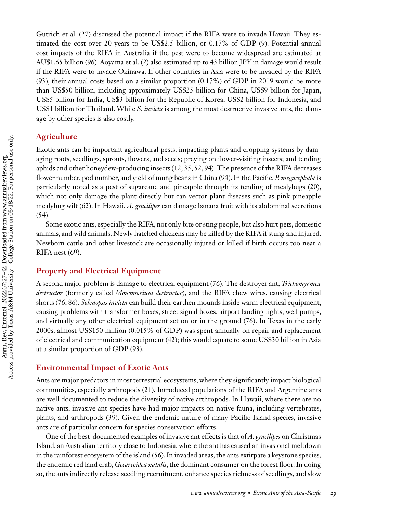Gutrich et al. [\(27\)](#page-12-0) discussed the potential impact if the RIFA were to invade Hawaii. They estimated the cost over 20 years to be US\$2.5 billion, or 0.17% of GDP [\(9\)](#page-11-0). Potential annual cost impacts of the RIFA in Australia if the pest were to become widespread are estimated at AU\$1.65 billion [\(96\)](#page-15-0). Aoyama et al. [\(2\)](#page-11-0) also estimated up to 43 billion JPY in damage would result if the RIFA were to invade Okinawa. If other countries in Asia were to be invaded by the RIFA [\(93\)](#page-15-0), their annual costs based on a similar proportion (0.17%) of GDP in 2019 would be more than US\$50 billion, including approximately US\$25 billion for China, US\$9 billion for Japan, US\$5 billion for India, US\$3 billion for the Republic of Korea, US\$2 billion for Indonesia, and US\$1 billion for Thailand. While *S. invicta* is among the most destructive invasive ants, the damage by other species is also costly.

#### **Agriculture**

Exotic ants can be important agricultural pests, impacting plants and cropping systems by damaging roots, seedlings, sprouts, flowers, and seeds; preying on flower-visiting insects; and tending aphids and other honeydew-producing insects [\(12,](#page-11-0) [35,](#page-12-0) [52,](#page-13-0) [94\)](#page-15-0). The presence of the RIFA decreases flower number, pod number, and yield of mung beans in China [\(94\)](#page-15-0). In the Pacific, *P. megacephala* is particularly noted as a pest of sugarcane and pineapple through its tending of mealybugs [\(20\)](#page-12-0), which not only damage the plant directly but can vector plant diseases such as pink pineapple mealybug wilt [\(62\)](#page-13-0). In Hawaii, *A. gracilipes* can damage banana fruit with its abdominal secretions [\(54\)](#page-13-0).

Some exotic ants, especially the RIFA, not only bite or sting people, but also hurt pets, domestic animals, and wild animals. Newly hatched chickens may be killed by the RIFA if stung and injured. Newborn cattle and other livestock are occasionally injured or killed if birth occurs too near a RIFA nest [\(69\)](#page-14-0).

#### **Property and Electrical Equipment**

A second major problem is damage to electrical equipment [\(76\)](#page-14-0). The destroyer ant, *Trichomyrmex destructor* (formerly called *Monomorium destructor*), and the RIFA chew wires, causing electrical shorts [\(76, 86\)](#page-14-0). *Solenopsis invicta* can build their earthen mounds inside warm electrical equipment, causing problems with transformer boxes, street signal boxes, airport landing lights, well pumps, and virtually any other electrical equipment set on or in the ground [\(76\)](#page-14-0). In Texas in the early 2000s, almost US\$150 million (0.015% of GDP) was spent annually on repair and replacement of electrical and communication equipment [\(42\)](#page-13-0); this would equate to some US\$30 billion in Asia at a similar proportion of GDP [\(93\)](#page-15-0).

#### **Environmental Impact of Exotic Ants**

Ants are major predators in most terrestrial ecosystems, where they significantly impact biological communities, especially arthropods [\(21\)](#page-12-0). Introduced populations of the RIFA and Argentine ants are well documented to reduce the diversity of native arthropods. In Hawaii, where there are no native ants, invasive ant species have had major impacts on native fauna, including vertebrates, plants, and arthropods [\(39\)](#page-12-0). Given the endemic nature of many Pacific Island species, invasive ants are of particular concern for species conservation efforts.

One of the best-documented examples of invasive ant effects is that of *A. gracilipes* on Christmas Island, an Australian territory close to Indonesia, where the ant has caused an invasional meltdown in the rainforest ecosystem of the island [\(56\)](#page-13-0). In invaded areas, the ants extirpate a keystone species, the endemic red land crab, *Gecarcoidea natalis*, the dominant consumer on the forest floor. In doing so, the ants indirectly release seedling recruitment, enhance species richness of seedlings, and slow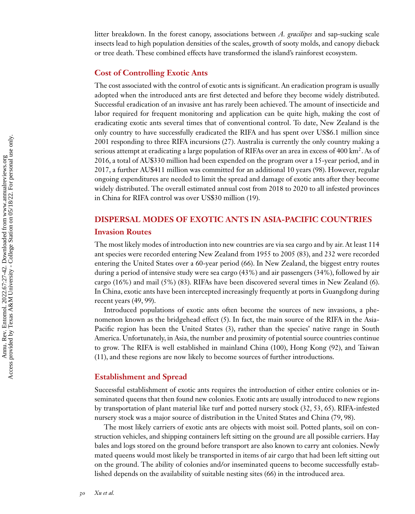litter breakdown. In the forest canopy, associations between *A. gracilipes* and sap-sucking scale insects lead to high population densities of the scales, growth of sooty molds, and canopy dieback or tree death. These combined effects have transformed the island's rainforest ecosystem.

#### **Cost of Controlling Exotic Ants**

The cost associated with the control of exotic ants is significant. An eradication program is usually adopted when the introduced ants are first detected and before they become widely distributed. Successful eradication of an invasive ant has rarely been achieved. The amount of insecticide and labor required for frequent monitoring and application can be quite high, making the cost of eradicating exotic ants several times that of conventional control. To date, New Zealand is the only country to have successfully eradicated the RIFA and has spent over US\$6.1 million since 2001 responding to three RIFA incursions [\(27\)](#page-12-0). Australia is currently the only country making a serious attempt at eradicating a large population of RIFAs over an area in excess of 400  $\text{km}^2$ . As of 2016, a total of AU\$330 million had been expended on the program over a 15-year period, and in 2017, a further AU\$411 million was committed for an additional 10 years [\(98\)](#page-15-0). However, regular ongoing expenditures are needed to limit the spread and damage of exotic ants after they become widely distributed. The overall estimated annual cost from 2018 to 2020 to all infested provinces in China for RIFA control was over US\$30 million [\(19\)](#page-12-0).

#### **DISPERSAL MODES OF EXOTIC ANTS IN ASIA-PACIFIC COUNTRIES**

#### **Invasion Routes**

The most likely modes of introduction into new countries are via sea cargo and by air. At least 114 ant species were recorded entering New Zealand from 1955 to 2005 [\(83\)](#page-14-0), and 232 were recorded entering the United States over a 60-year period [\(66\)](#page-14-0). In New Zealand, the biggest entry routes during a period of intensive study were sea cargo (43%) and air passengers (34%), followed by air cargo (16%) and mail (5%) [\(83\)](#page-14-0). RIFAs have been discovered several times in New Zealand [\(6\)](#page-11-0). In China, exotic ants have been intercepted increasingly frequently at ports in Guangdong during recent years [\(49,](#page-13-0) [99\)](#page-15-0).

Introduced populations of exotic ants often become the sources of new invasions, a phe-nomenon known as the bridgehead effect [\(5\)](#page-11-0). In fact, the main source of the RIFA in the Asia-Pacific region has been the United States [\(3\)](#page-11-0), rather than the species' native range in South America. Unfortunately, in Asia, the number and proximity of potential source countries continue to grow. The RIFA is well established in mainland China [\(100\)](#page-15-0), Hong Kong [\(92\)](#page-15-0), and Taiwan [\(11\)](#page-11-0), and these regions are now likely to become sources of further introductions.

#### **Establishment and Spread**

Successful establishment of exotic ants requires the introduction of either entire colonies or inseminated queens that then found new colonies. Exotic ants are usually introduced to new regions by transportation of plant material like turf and potted nursery stock [\(32,](#page-12-0) [53, 65\)](#page-13-0). RIFA-infested nursery stock was a major source of distribution in the United States and China [\(79,](#page-14-0) [98\)](#page-15-0).

The most likely carriers of exotic ants are objects with moist soil. Potted plants, soil on construction vehicles, and shipping containers left sitting on the ground are all possible carriers. Hay bales and logs stored on the ground before transport are also known to carry ant colonies. Newly mated queens would most likely be transported in items of air cargo that had been left sitting out on the ground. The ability of colonies and/or inseminated queens to become successfully established depends on the availability of suitable nesting sites [\(66\)](#page-14-0) in the introduced area.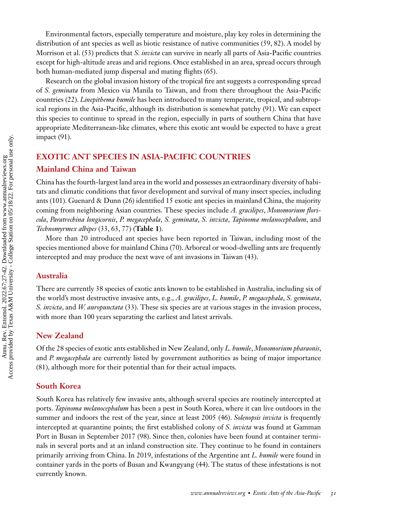Environmental factors, especially temperature and moisture, play key roles in determining the distribution of ant species as well as biotic resistance of native communities [\(59,](#page-13-0) [82\)](#page-14-0). A model by Morrison et al. [\(53\)](#page-13-0) predicts that *S. invicta* can survive in nearly all parts of Asia-Pacific countries except for high-altitude areas and arid regions. Once established in an area, spread occurs through both human-mediated jump dispersal and mating flights [\(65\)](#page-13-0).

Research on the global invasion history of the tropical fire ant suggests a corresponding spread of *S. geminata* from Mexico via Manila to Taiwan, and from there throughout the Asia-Pacific countries [\(22\)](#page-12-0). *Linepithema humile* has been introduced to many temperate, tropical, and subtropical regions in the Asia-Pacific, although its distribution is somewhat patchy [\(91\)](#page-15-0). We can expect this species to continue to spread in the region, especially in parts of southern China that have appropriate Mediterranean-like climates, where this exotic ant would be expected to have a great impact [\(91\)](#page-15-0).

#### **EXOTIC ANT SPECIES IN ASIA-PACIFIC COUNTRIES**

#### **Mainland China and Taiwan**

China has the fourth-largest land area in the world and possesses an extraordinary diversity of habitats and climatic conditions that favor development and survival of many insect species, including ants [\(101\)](#page-15-0). Guenard & Dunn [\(26\)](#page-12-0) identified 15 exotic ant species in mainland China, the majority coming from neighboring Asian countries. These species include *A. gracilipes*, *Monomorium floricola*, *Paratrechina longicornis*, *P. megacephala*, *S. geminata*, *S. invicta*, *Tapinoma melanocephalum*, and *Technomyrmex albipes* [\(33,](#page-12-0) [63,](#page-13-0) [77\)](#page-14-0) (**[Table 1](#page-5-0)**).

More than 20 introduced ant species have been reported in Taiwan, including most of the species mentioned above for mainland China [\(70\)](#page-14-0). Arboreal or wood-dwelling ants are frequently intercepted and may produce the next wave of ant invasions in Taiwan [\(43\)](#page-13-0).

#### **Australia**

There are currently 38 species of exotic ants known to be established in Australia, including six of the world's most destructive invasive ants, e.g., *A. gracilipes*, *L. humile*, *P. megacephala*, *S. geminata*, *S. invicta*, and *W. auropunctata* [\(33\)](#page-12-0). These six species are at various stages in the invasion process, with more than 100 years separating the earliest and latest arrivals.

#### **New Zealand**

Of the 28 species of exotic ants established in New Zealand, only *L. humile*, *Monomorium pharaonis*, and *P. megacephala* are currently listed by government authorities as being of major importance [\(81\)](#page-14-0), although more for their potential than for their actual impacts.

#### **South Korea**

South Korea has relatively few invasive ants, although several species are routinely intercepted at ports. *Tapinoma melanocephalum* has been a pest in South Korea, where it can live outdoors in the summer and indoors the rest of the year, since at least 2005 [\(46\)](#page-13-0). *Solenopsis invicta* is frequently intercepted at quarantine points; the first established colony of *S. invicta* was found at Gamman Port in Busan in September 2017 [\(98\)](#page-15-0). Since then, colonies have been found at container terminals in several ports and at an inland construction site. They continue to be found in containers primarily arriving from China. In 2019, infestations of the Argentine ant *L. humile* were found in container yards in the ports of Busan and Kwangyang [\(44\)](#page-13-0). The status of these infestations is not currently known.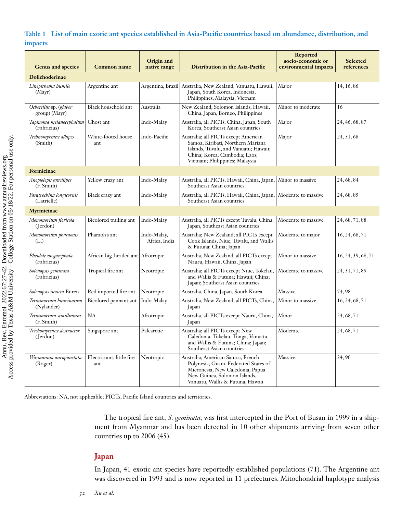#### <span id="page-5-0"></span>**Table 1 List of main exotic ant species established in Asia-Pacific countries based on abundance, distribution, and impacts**

| <b>Genus and species</b>                | Common name                       | Origin and<br>native range   | Distribution in the Asia-Pacific                                                                                                                                                      | Reported<br>socio-economic or<br>environmental impacts | Selected<br>references |  |
|-----------------------------------------|-----------------------------------|------------------------------|---------------------------------------------------------------------------------------------------------------------------------------------------------------------------------------|--------------------------------------------------------|------------------------|--|
| <b>Dolichoderinae</b>                   |                                   |                              |                                                                                                                                                                                       |                                                        |                        |  |
| Linepithema humile<br>(Mayr)            | Argentine ant                     |                              | Argentina, Brazil   Australia, New Zealand, Vanuatu, Hawaii,<br>Japan, South Korea, Indonesia,<br>Philippines, Malaysia, Vietnam                                                      | Major                                                  | 14, 16, 86             |  |
| Ochetellus sp. (glaber<br>group) (Mayr) | Black household ant               | Australia                    | New Zealand, Solomon Islands, Hawaii,<br>China, Japan, Borneo, Philippines                                                                                                            | Minor to moderate                                      | 16                     |  |
| Tapinoma melanocephalum<br>(Fabricius)  | Ghost ant                         | Indo-Malay                   | Australia, all PICTs, China, Japan, South<br>Korea, Southeast Asian countries                                                                                                         | Major                                                  | 24, 46, 68, 87         |  |
| Technomyrmex albipes<br>(Smith)         | White-footed house<br>ant         | Indo-Pacific                 | Australia; all PICTs except American<br>Samoa, Kiribati, Northern Mariana<br>Islands, Tuvalu, and Vanuatu; Hawaii;<br>China; Korea; Cambodia; Laos;<br>Vietnam; Philippines; Malaysia | Major                                                  | 24, 51, 68             |  |
| Formicinae                              |                                   |                              |                                                                                                                                                                                       |                                                        |                        |  |
| Anoplolepis gracilipes<br>(F. Smith)    | Yellow crazy ant                  | Indo-Malay                   | Australia, all PICTs, Hawaii, China, Japan,<br>Southeast Asian countries                                                                                                              | Minor to massive                                       | 24, 68, 84             |  |
| Paratrechina longicornis<br>(Latrielle) | Black crazy ant                   | Indo-Malay                   | Australia, all PICTs, Hawaii, China, Japan,<br>Southeast Asian countries                                                                                                              | Moderate to massive                                    | 24, 68, 85             |  |
| Myrmicinae                              |                                   |                              |                                                                                                                                                                                       |                                                        |                        |  |
| Monomorium floricola<br>(Jerdon)        | Bicolored trailing ant            | Indo-Malay                   | Australia, all PICTs except Tuvalu, China,<br>Japan, Southeast Asian countries                                                                                                        | Moderate to massive                                    | 24, 68, 71, 88         |  |
| Monomorium pharaonis<br>(L.)            | Pharaoh's ant                     | Indo-Malay,<br>Africa, India | Australia; New Zealand; all PICTs except<br>Cook Islands, Niue, Tuvalu, and Wallis<br>& Futuna; China; Japan                                                                          | Moderate to major                                      | 16, 24, 68, 71         |  |
| Pheidole megacephala<br>(Fabricius)     | African big-headed ant Afrotropic |                              | Australia, New Zealand, all PICTs except<br>Nauru, Hawaii, China, Japan                                                                                                               | Minor to massive                                       | 16, 24, 39, 68, 71     |  |
| Solenopsis geminata<br>(Fabricius)      | Tropical fire ant                 | Neotropic                    | Australia; all PICTs except Niue, Tokelau,<br>and Wallis & Futuna; Hawaii; China;<br>Japan; Southeast Asian countries                                                                 | Moderate to massive                                    | 24, 31, 71, 89         |  |
| Solenopsis invicta Buren                | Red imported fire ant             | Neotropic                    | Australia, China, Japan, South Korea                                                                                                                                                  | Massive                                                | 74,98                  |  |
| Tetramorium bicarinatum<br>(Nylander)   | Bicolored pennant ant             | Indo-Malay                   | Australia, New Zealand, all PICTs, China,<br>Japan                                                                                                                                    | Minor to massive                                       | 16, 24, 68, 71         |  |
| Tetramorium simillimum<br>(F. Smith)    | <b>NA</b>                         | Afrotropic                   | Australia, all PICTs except Nauru, China,<br>Japan                                                                                                                                    | Minor                                                  | 24, 68, 71             |  |
| Trichomyrmex destructor<br>(Jerdon)     | Singapore ant                     | Palearctic                   | Australia; all PICTs except New<br>Caledonia, Tokelau, Tonga, Vanuatu,<br>and Wallis & Futuna; China; Japan;<br>Southeast Asian countries                                             | Moderate                                               | 24, 68, 71             |  |
| Wasmannia auropunctata<br>(Roger)       | Electric ant, little fire<br>ant  | Neotropic                    | Australia, American Samoa, French<br>Polynesia, Guam, Federated States of<br>Micronesia, New Caledonia, Papua<br>New Guinea, Solomon Islands,<br>Vanuatu, Wallis & Futuna, Hawaii     | Massive                                                | 24,90                  |  |

Abbreviations: NA, not applicable; PICTs, Pacific Island countries and territories.

The tropical fire ant, *S. geminata,* was first intercepted in the Port of Busan in 1999 in a shipment from Myanmar and has been detected in 10 other shipments arriving from seven other countries up to 2006 [\(45\)](#page-13-0).

#### **Japan**

In Japan, 41 exotic ant species have reportedly established populations [\(71\)](#page-14-0). The Argentine ant was discovered in 1993 and is now reported in 11 prefectures. Mitochondrial haplotype analysis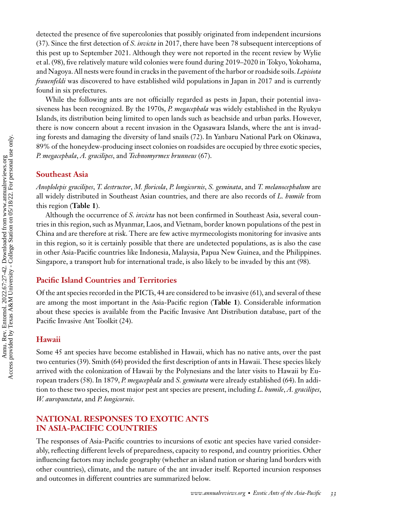detected the presence of five supercolonies that possibly originated from independent incursions [\(37\)](#page-12-0). Since the first detection of *S. invicta* in 2017, there have been 78 subsequent interceptions of this pest up to September 2021. Although they were not reported in the recent review by Wylie et al. [\(98\)](#page-15-0), five relatively mature wild colonies were found during 2019–2020 in Tokyo, Yokohama, and Nagoya. All nests were found in cracks in the pavement of the harbor or roadside soils.*Lepisiota frauenfeldi* was discovered to have established wild populations in Japan in 2017 and is currently found in six prefectures.

While the following ants are not officially regarded as pests in Japan, their potential invasiveness has been recognized. By the 1970s, *P. megacephala* was widely established in the Ryukyu Islands, its distribution being limited to open lands such as beachside and urban parks. However, there is now concern about a recent invasion in the Ogasawara Islands, where the ant is invading forests and damaging the diversity of land snails [\(72\)](#page-14-0). In Yanbaru National Park on Okinawa, 89% of the honeydew-producing insect colonies on roadsides are occupied by three exotic species, *P. megacephala*, *A. gracilipes*, and *Technomyrmex brunneus* [\(67\)](#page-14-0).

#### **Southeast Asia**

*Anoplolepis gracilipes*, *T. destructor*, *M. floricola*, *P. longicornis*, *S. geminata*, and *T. melanocephalum* are all widely distributed in Southeast Asian countries, and there are also records of *L. humile* from this region (**[Table 1](#page-5-0)**).

Although the occurrence of *S. invicta* has not been confirmed in Southeast Asia, several countries in this region, such as Myanmar, Laos, and Vietnam, border known populations of the pest in China and are therefore at risk. There are few active myrmecologists monitoring for invasive ants in this region, so it is certainly possible that there are undetected populations, as is also the case in other Asia-Pacific countries like Indonesia, Malaysia, Papua New Guinea, and the Philippines. Singapore, a transport hub for international trade, is also likely to be invaded by this ant [\(98\)](#page-15-0).

#### **Pacific Island Countries and Territories**

Of the ant species recorded in the PICTs, 44 are considered to be invasive [\(61\)](#page-13-0), and several of these are among the most important in the Asia-Pacific region (**[Table 1](#page-5-0)**). Considerable information about these species is available from the Pacific Invasive Ant Distribution database, part of the Pacific Invasive Ant Toolkit [\(24\)](#page-12-0).

#### **Hawaii**

Some 45 ant species have become established in Hawaii, which has no native ants, over the past two centuries [\(39\)](#page-12-0). Smith [\(64\)](#page-13-0) provided the first description of ants in Hawaii. These species likely arrived with the colonization of Hawaii by the Polynesians and the later visits to Hawaii by European traders [\(58\)](#page-13-0). In 1879, *P. megacephala* and *S. geminata* were already established [\(64\)](#page-13-0). In addition to these two species, most major pest ant species are present, including *L. humile*, *A. gracilipes*, *W. auropunctata*, and *P. longicornis*.

#### **NATIONAL RESPONSES TO EXOTIC ANTS IN ASIA-PACIFIC COUNTRIES**

The responses of Asia-Pacific countries to incursions of exotic ant species have varied considerably, reflecting different levels of preparedness, capacity to respond, and country priorities. Other influencing factors may include geography (whether an island nation or sharing land borders with other countries), climate, and the nature of the ant invader itself. Reported incursion responses and outcomes in different countries are summarized below.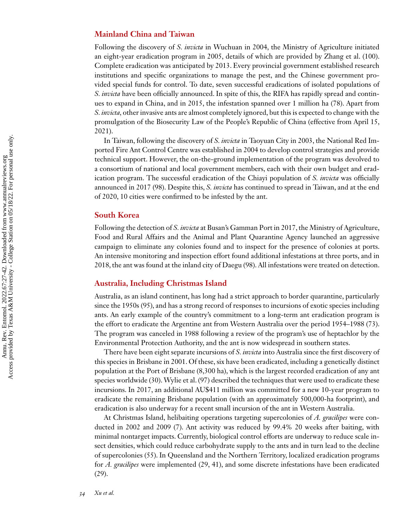#### **Mainland China and Taiwan**

Following the discovery of *S. invicta* in Wuchuan in 2004, the Ministry of Agriculture initiated an eight-year eradication program in 2005, details of which are provided by Zhang et al. [\(100\)](#page-15-0). Complete eradication was anticipated by 2013. Every provincial government established research institutions and specific organizations to manage the pest, and the Chinese government provided special funds for control. To date, seven successful eradications of isolated populations of *S. invicta* have been officially announced. In spite of this, the RIFA has rapidly spread and continues to expand in China, and in 2015, the infestation spanned over 1 million ha [\(78\)](#page-14-0). Apart from *S. invicta,* other invasive ants are almost completely ignored, but this is expected to change with the promulgation of the Biosecurity Law of the People's Republic of China (effective from April 15, 2021).

In Taiwan, following the discovery of *S. invicta* in Taoyuan City in 2003, the National Red Imported Fire Ant Control Centre was established in 2004 to develop control strategies and provide technical support. However, the on-the-ground implementation of the program was devolved to a consortium of national and local government members, each with their own budget and eradication program. The successful eradication of the Chiayi population of *S. invicta* was officially announced in 2017 [\(98\)](#page-15-0). Despite this, *S. invicta* has continued to spread in Taiwan, and at the end of 2020, 10 cities were confirmed to be infested by the ant.

#### **South Korea**

Following the detection of *S. invicta* at Busan's Gamman Port in 2017, the Ministry of Agriculture, Food and Rural Affairs and the Animal and Plant Quarantine Agency launched an aggressive campaign to eliminate any colonies found and to inspect for the presence of colonies at ports. An intensive monitoring and inspection effort found additional infestations at three ports, and in 2018, the ant was found at the inland city of Daegu [\(98\)](#page-15-0). All infestations were treated on detection.

#### **Australia, Including Christmas Island**

Australia, as an island continent, has long had a strict approach to border quarantine, particularly since the 1950s [\(95\)](#page-15-0), and has a strong record of responses to incursions of exotic species including ants. An early example of the country's commitment to a long-term ant eradication program is the effort to eradicate the Argentine ant from Western Australia over the period 1954–1988 [\(73\)](#page-14-0). The program was canceled in 1988 following a review of the program's use of heptachlor by the Environmental Protection Authority, and the ant is now widespread in southern states.

There have been eight separate incursions of *S. invicta* into Australia since the first discovery of this species in Brisbane in 2001. Of these, six have been eradicated, including a genetically distinct population at the Port of Brisbane (8,300 ha), which is the largest recorded eradication of any ant species worldwide [\(30\)](#page-12-0).Wylie et al. [\(97\)](#page-15-0) described the techniques that were used to eradicate these incursions. In 2017, an additional AU\$411 million was committed for a new 10-year program to eradicate the remaining Brisbane population (with an approximately 500,000-ha footprint), and eradication is also underway for a recent small incursion of the ant in Western Australia.

At Christmas Island, helibaiting operations targeting supercolonies of *A. gracilipes* were conducted in 2002 and 2009 [\(7\)](#page-11-0). Ant activity was reduced by 99.4% 20 weeks after baiting, with minimal nontarget impacts. Currently, biological control efforts are underway to reduce scale insect densities, which could reduce carbohydrate supply to the ants and in turn lead to the decline of supercolonies [\(55\)](#page-13-0). In Queensland and the Northern Territory, localized eradication programs for *A. gracilipes* were implemented [\(29, 41\)](#page-12-0), and some discrete infestations have been eradicated [\(29\)](#page-12-0).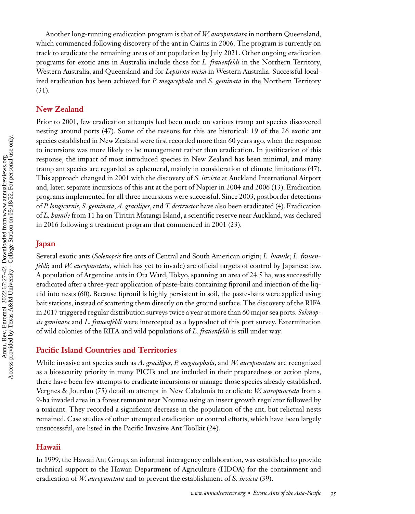Another long-running eradication program is that of *W. auropunctata* in northern Queensland, which commenced following discovery of the ant in Cairns in 2006. The program is currently on track to eradicate the remaining areas of ant population by July 2021. Other ongoing eradication programs for exotic ants in Australia include those for *L. frauenfeldi* in the Northern Territory, Western Australia, and Queensland and for *Lepisiota incisa* in Western Australia. Successful localized eradication has been achieved for *P. megacephala* and *S. geminata* in the Northern Territory [\(31\)](#page-12-0).

#### **New Zealand**

Prior to 2001, few eradication attempts had been made on various tramp ant species discovered nesting around ports [\(47\)](#page-13-0). Some of the reasons for this are historical: 19 of the 26 exotic ant species established in New Zealand were first recorded more than 60 years ago, when the response to incursions was more likely to be management rather than eradication. In justification of this response, the impact of most introduced species in New Zealand has been minimal, and many tramp ant species are regarded as ephemeral, mainly in consideration of climate limitations [\(47\)](#page-13-0). This approach changed in 2001 with the discovery of *S. invicta* at Auckland International Airport and, later, separate incursions of this ant at the port of Napier in 2004 and 2006 [\(13\)](#page-11-0). Eradication programs implemented for all three incursions were successful. Since 2003, postborder detections of *P. longicornis*, *S. geminata*, *A. gracilipes*, and *T. destructor* have also been eradicated [\(4\)](#page-11-0). Eradication of *L. humile* from 11 ha on Tiritiri Matangi Island, a scientific reserve near Auckland, was declared in 2016 following a treatment program that commenced in 2001 [\(23\)](#page-12-0).

#### **Japan**

Several exotic ants (*Solenopsis* fire ants of Central and South American origin; *L. humile*; *L. frauenfeldi*; and *W. auropunctata*, which has yet to invade) are official targets of control by Japanese law. A population of Argentine ants in Ota Ward, Tokyo, spanning an area of 24.5 ha, was successfully eradicated after a three-year application of paste-baits containing fipronil and injection of the liquid into nests [\(60\)](#page-13-0). Because fipronil is highly persistent in soil, the paste-baits were applied using bait stations, instead of scattering them directly on the ground surface. The discovery of the RIFA in 2017 triggered regular distribution surveys twice a year at more than 60 major sea ports. *Solenopsis geminata* and *L. frauenfeldi* were intercepted as a byproduct of this port survey. Extermination of wild colonies of the RIFA and wild populations of *L. frauenfeldi* is still under way.

#### **Pacific Island Countries and Territories**

While invasive ant species such as *A. gracilipes*, *P. megacephala*, and *W. auropunctata* are recognized as a biosecurity priority in many PICTs and are included in their preparedness or action plans, there have been few attempts to eradicate incursions or manage those species already established. Vergnes & Jourdan [\(75\)](#page-14-0) detail an attempt in New Caledonia to eradicate *W. auropunctata* from a 9-ha invaded area in a forest remnant near Noumea using an insect growth regulator followed by a toxicant. They recorded a significant decrease in the population of the ant, but relictual nests remained. Case studies of other attempted eradication or control efforts, which have been largely unsuccessful, are listed in the Pacific Invasive Ant Toolkit [\(24\)](#page-12-0).

#### **Hawaii**

In 1999, the Hawaii Ant Group, an informal interagency collaboration, was established to provide technical support to the Hawaii Department of Agriculture (HDOA) for the containment and eradication of *W. auropunctata* and to prevent the establishment of *S. invicta* [\(39\)](#page-12-0).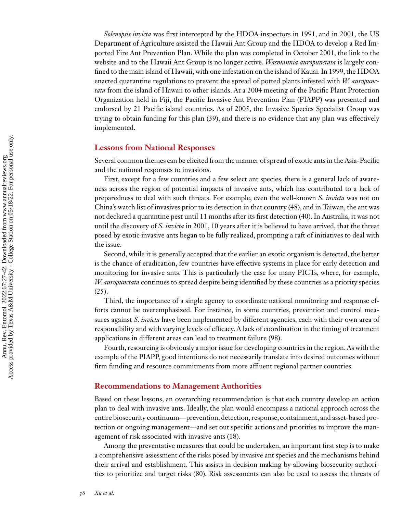*Solenopsis invicta* was first intercepted by the HDOA inspectors in 1991, and in 2001, the US Department of Agriculture assisted the Hawaii Ant Group and the HDOA to develop a Red Imported Fire Ant Prevention Plan. While the plan was completed in October 2001, the link to the website and to the Hawaii Ant Group is no longer active. *Wasmannia auropunctata* is largely confined to the main island of Hawaii, with one infestation on the island of Kauai. In 1999, the HDOA enacted quarantine regulations to prevent the spread of potted plants infested with *W. auropunctata* from the island of Hawaii to other islands. At a 2004 meeting of the Pacific Plant Protection Organization held in Fiji, the Pacific Invasive Ant Prevention Plan (PIAPP) was presented and endorsed by 21 Pacific island countries. As of 2005, the Invasive Species Specialist Group was trying to obtain funding for this plan [\(39\)](#page-12-0), and there is no evidence that any plan was effectively implemented.

#### **Lessons from National Responses**

Several common themes can be elicited from the manner of spread of exotic ants in the Asia-Pacific and the national responses to invasions.

First, except for a few countries and a few select ant species, there is a general lack of awareness across the region of potential impacts of invasive ants, which has contributed to a lack of preparedness to deal with such threats. For example, even the well-known *S. invicta* was not on China's watch list of invasives prior to its detection in that country [\(48\)](#page-13-0), and in Taiwan, the ant was not declared a quarantine pest until 11 months after its first detection [\(40\)](#page-12-0). In Australia, it was not until the discovery of *S. invicta* in 2001, 10 years after it is believed to have arrived, that the threat posed by exotic invasive ants began to be fully realized, prompting a raft of initiatives to deal with the issue.

Second, while it is generally accepted that the earlier an exotic organism is detected, the better is the chance of eradication, few countries have effective systems in place for early detection and monitoring for invasive ants. This is particularly the case for many PICTs, where, for example, *W. auropunctata* continues to spread despite being identified by these countries as a priority species  $(25).$  $(25).$ 

Third, the importance of a single agency to coordinate national monitoring and response efforts cannot be overemphasized. For instance, in some countries, prevention and control measures against *S. invicta* have been implemented by different agencies, each with their own area of responsibility and with varying levels of efficacy. A lack of coordination in the timing of treatment applications in different areas can lead to treatment failure [\(98\)](#page-15-0).

Fourth, resourcing is obviously a major issue for developing countries in the region. As with the example of the PIAPP, good intentions do not necessarily translate into desired outcomes without firm funding and resource commitments from more affluent regional partner countries.

#### **Recommendations to Management Authorities**

Based on these lessons, an overarching recommendation is that each country develop an action plan to deal with invasive ants. Ideally, the plan would encompass a national approach across the entire biosecurity continuum—prevention, detection, response, containment, and asset-based protection or ongoing management—and set out specific actions and priorities to improve the management of risk associated with invasive ants [\(18\)](#page-12-0).

Among the preventative measures that could be undertaken, an important first step is to make a comprehensive assessment of the risks posed by invasive ant species and the mechanisms behind their arrival and establishment. This assists in decision making by allowing biosecurity authorities to prioritize and target risks [\(80\)](#page-14-0). Risk assessments can also be used to assess the threats of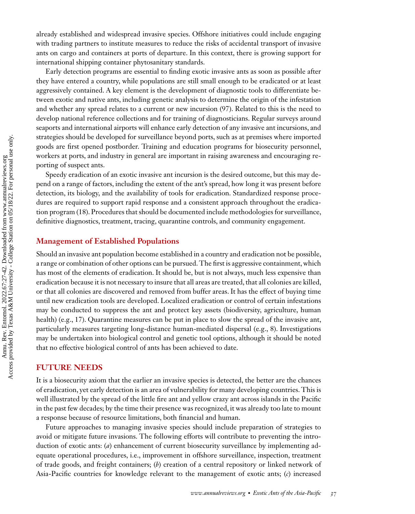already established and widespread invasive species. Offshore initiatives could include engaging with trading partners to institute measures to reduce the risks of accidental transport of invasive ants on cargo and containers at ports of departure. In this context, there is growing support for international shipping container phytosanitary standards.

Early detection programs are essential to finding exotic invasive ants as soon as possible after they have entered a country, while populations are still small enough to be eradicated or at least aggressively contained. A key element is the development of diagnostic tools to differentiate between exotic and native ants, including genetic analysis to determine the origin of the infestation and whether any spread relates to a current or new incursion [\(97\)](#page-15-0). Related to this is the need to develop national reference collections and for training of diagnosticians. Regular surveys around seaports and international airports will enhance early detection of any invasive ant incursions, and strategies should be developed for surveillance beyond ports, such as at premises where imported goods are first opened postborder. Training and education programs for biosecurity personnel, workers at ports, and industry in general are important in raising awareness and encouraging reporting of suspect ants.

Speedy eradication of an exotic invasive ant incursion is the desired outcome, but this may depend on a range of factors, including the extent of the ant's spread, how long it was present before detection, its biology, and the availability of tools for eradication. Standardized response procedures are required to support rapid response and a consistent approach throughout the eradication program [\(18\)](#page-12-0). Procedures that should be documented include methodologies for surveillance, definitive diagnostics, treatment, tracing, quarantine controls, and community engagement.

#### **Management of Established Populations**

Should an invasive ant population become established in a country and eradication not be possible, a range or combination of other options can be pursued. The first is aggressive containment, which has most of the elements of eradication. It should be, but is not always, much less expensive than eradication because it is not necessary to insure that all areas are treated, that all colonies are killed, or that all colonies are discovered and removed from buffer areas. It has the effect of buying time until new eradication tools are developed. Localized eradication or control of certain infestations may be conducted to suppress the ant and protect key assets (biodiversity, agriculture, human health) (e.g., [17\)](#page-12-0). Quarantine measures can be put in place to slow the spread of the invasive ant, particularly measures targeting long-distance human-mediated dispersal (e.g., [8\)](#page-11-0). Investigations may be undertaken into biological control and genetic tool options, although it should be noted that no effective biological control of ants has been achieved to date.

#### **FUTURE NEEDS**

It is a biosecurity axiom that the earlier an invasive species is detected, the better are the chances of eradication, yet early detection is an area of vulnerability for many developing countries. This is well illustrated by the spread of the little fire ant and yellow crazy ant across islands in the Pacific in the past few decades; by the time their presence was recognized, it was already too late to mount a response because of resource limitations, both financial and human.

Future approaches to managing invasive species should include preparation of strategies to avoid or mitigate future invasions. The following efforts will contribute to preventing the introduction of exotic ants: (*a*) enhancement of current biosecurity surveillance by implementing adequate operational procedures, i.e., improvement in offshore surveillance, inspection, treatment of trade goods, and freight containers; (*b*) creation of a central repository or linked network of Asia-Pacific countries for knowledge relevant to the management of exotic ants; (*c*) increased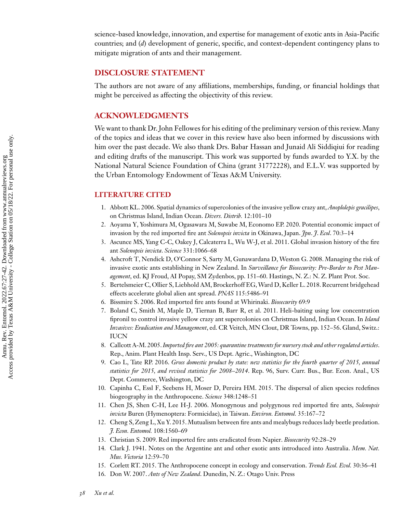<span id="page-11-0"></span>science-based knowledge, innovation, and expertise for management of exotic ants in Asia-Pacific countries; and (*d*) development of generic, specific, and context-dependent contingency plans to mitigate migration of ants and their management.

#### **DISCLOSURE STATEMENT**

The authors are not aware of any affiliations, memberships, funding, or financial holdings that might be perceived as affecting the objectivity of this review.

#### **ACKNOWLEDGMENTS**

We want to thank Dr. John Fellowes for his editing of the preliminary version of this review. Many of the topics and ideas that we cover in this review have also been informed by discussions with him over the past decade. We also thank Drs. Babar Hassan and Junaid Ali Siddiqiui for reading and editing drafts of the manuscript. This work was supported by funds awarded to Y.X. by the National Natural Science Foundation of China (grant 31772228), and E.L.V. was supported by the Urban Entomology Endowment of Texas A&M University.

#### **LITERATURE CITED**

- 1. Abbott KL. 2006. Spatial dynamics of supercolonies of the invasive yellow crazy ant,*Anoplolepis gracilipes*, on Christmas Island, Indian Ocean. *Divers. Distrib.* 12:101–10
- 2. Aoyama Y, Yoshimura M, Ogasawara M, Suwabe M, Economo EP. 2020. Potential economic impact of invasion by the red imported fire ant *Solenopsis invicta* in Okinawa, Japan. *Jpn*. *J*. *Ecol*. 70:3–14
- 3. Ascunce MS, Yang C-C, Oakey J, Calcaterra L, Wu W-J, et al. 2011. Global invasion history of the fire ant *Solenopsis invicta*. *Science* 331:1066–68
- 4. Ashcroft T, Nendick D, O'Connor S, Sarty M, Gunawardana D, Weston G. 2008. Managing the risk of invasive exotic ants establishing in New Zealand. In *Surveillance for Biosecurity: Pre-Border to Pest Management*, ed. KJ Froud, AI Popay, SM Zydenbos, pp. 151–60. Hastings, N. Z.: N. Z. Plant Prot. Soc.
- 5. Bertelsmeier C, Ollier S, Liebhold AM, Brockerhoff EG,Ward D, Keller L. 2018. Recurrent bridgehead effects accelerate global alien ant spread. *PNAS* 115:5486–91
- 6. Bissmire S. 2006. Red imported fire ants found at Whirinaki. *Biosecurity* 69:9
- 7. Boland C, Smith M, Maple D, Tiernan B, Barr R, et al. 2011. Heli-baiting using low concentration fipronil to control invasive yellow crazy ant supercolonies on Christmas Island, Indian Ocean. In *Island Invasives: Eradication and Management*, ed. CR Veitch, MN Clout, DR Towns, pp. 152–56. Gland, Switz.: IUCN
- 8. Callcott A-M. 2005.*Imported fire ant 2005: quarantine treatments for nursery stock and other regulated articles*. Rep., Anim. Plant Health Insp. Serv., US Dept. Agric., Washington, DC
- 9. Cao L, Tate RP. 2016. *Gross domestic product by state: new statistics for the fourth quarter of 2015, annual statistics for 2015, and revised statistics for 2008–2014*. Rep. 96, Surv. Curr. Bus., Bur. Econ. Anal., US Dept. Commerce, Washington, DC
- 10. Capinha C, Essl F, Seebens H, Moser D, Pereira HM. 2015. The dispersal of alien species redefines biogeography in the Anthropocene. *Science* 348:1248–51
- 11. Chen JS, Shen C-H, Lee H-J. 2006. Monogynous and polygynous red imported fire ants, *Solenopsis invicta* Buren (Hymenoptera: Formicidae), in Taiwan. *Environ. Entomol.* 35:167–72
- 12. Cheng S, Zeng L, Xu Y. 2015. Mutualism between fire ants and mealybugs reduces lady beetle predation. *J. Econ. Entomol.* 108:1560–69
- 13. Christian S. 2009. Red imported fire ants eradicated from Napier. *Biosecurity* 92:28–29
- 14. Clark J. 1941. Notes on the Argentine ant and other exotic ants introduced into Australia. *Mem. Nat. Mus. Victoria* 12:59–70
- 15. Corlett RT. 2015. The Anthropocene concept in ecology and conservation. *Trends Ecol. Evol.* 30:36–41
- 16. Don W. 2007. *Ants of New Zealand*. Dunedin, N. Z.: Otago Univ. Press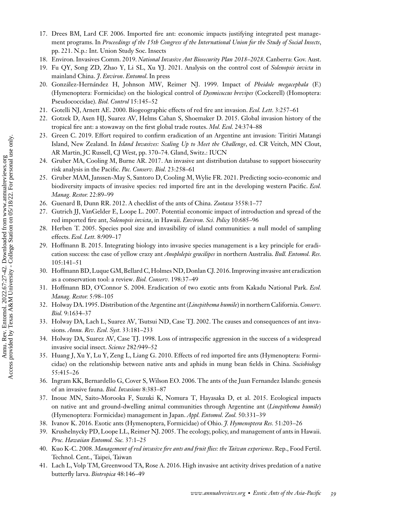- <span id="page-12-0"></span>17. Drees BM, Lard CF. 2006. Imported fire ant: economic impacts justifying integrated pest management programs. In *Proceedings of the 15th Congress of the International Union for the Study of Social Insects*, pp. 221. N.p.: Int. Union Study Soc. Insects
- 18. Environ. Invasives Comm. 2019. *National Invasive Ant Biosecurity Plan 2018–2028*. Canberra: Gov. Aust.
- 19. Fu QY, Song ZD, Zhao Y, Li SL, Xu YJ. 2021. Analysis on the control cost of *Solenopsis invicta* in mainland China. *J*. *Environ*. *Entomol*. In press
- 20. González-Hernández H, Johnson MW, Reimer NJ. 1999. Impact of *Pheidole megacephala* (F.) (Hymenoptera: Formicidae) on the biological control of *Dysmicoccus brevipes* (Cockerell) (Homoptera: Pseudococcidae). *Biol. Control* 15:145–52
- 21. Gotelli NJ, Arnett AE. 2000. Biogeographic effects of red fire ant invasion. *Ecol. Lett.* 3:257–61
- 22. Gotzek D, Axen HJ, Suarez AV, Helms Cahan S, Shoemaker D. 2015. Global invasion history of the tropical fire ant: a stowaway on the first global trade routes. *Mol. Ecol.* 24:374–88
- 23. Green C. 2019. Effort required to confirm eradication of an Argentine ant invasion: Tiritiri Matangi Island, New Zealand. In *Island Invasives: Scaling Up to Meet the Challenge*, ed. CR Veitch, MN Clout, AR Martin, JC Russell, CJ West, pp. 370–74. Gland, Switz.: IUCN
- 24. Gruber MA, Cooling M, Burne AR. 2017. An invasive ant distribution database to support biosecurity risk analysis in the Pacific. *Pac. Conserv. Biol.* 23:258–61
- 25. Gruber MAM, Janssen-May S, Santoro D, Cooling M, Wylie FR. 2021. Predicting socio-economic and biodiversity impacts of invasive species: red imported fire ant in the developing western Pacific. *Ecol. Manag. Restor.* 22:89–99
- 26. Guenard B, Dunn RR. 2012. A checklist of the ants of China. *Zootaxa* 3558:1–77
- 27. Gutrich JJ, VanGelder E, Loope L. 2007. Potential economic impact of introduction and spread of the red imported fire ant, *Solenopsis invicta*, in Hawaii. *Environ. Sci. Policy* 10:685–96
- 28. Herben T. 2005. Species pool size and invasibility of island communities: a null model of sampling effects. *Ecol. Lett.* 8:909–17
- 29. Hoffmann B. 2015. Integrating biology into invasive species management is a key principle for eradication success: the case of yellow crazy ant *Anoplolepis gracilipes* in northern Australia. *Bull. Entomol. Res.* 105:141–51
- 30. Hoffmann BD, Luque GM, Bellard C, Holmes ND, Donlan CJ. 2016. Improving invasive ant eradication as a conservation tool: a review. *Biol. Conserv.* 198:37–49
- 31. Hoffmann BD, O'Connor S. 2004. Eradication of two exotic ants from Kakadu National Park. *Ecol. Manag. Restor.* 5:98–105
- 32. Holway DA. 1995.Distribution of the Argentine ant (*Linepithema humile*) in northern California.*Conserv. Biol.* 9:1634–37
- 33. Holway DA, Lach L, Suarez AV, Tsutsui ND, Case TJ. 2002. The causes and consequences of ant invasions. *Annu. Rev. Ecol. Syst.* 33:181–233
- 34. Holway DA, Suarez AV, Case TJ. 1998. Loss of intraspecific aggression in the success of a widespread invasive social insect. *Science* 282:949–52
- 35. Huang J, Xu Y, Lu Y, Zeng L, Liang G. 2010. Effects of red imported fire ants (Hymenoptera: Formicidae) on the relationship between native ants and aphids in mung bean fields in China. *Sociobiology* 55:415–26
- 36. Ingram KK, Bernardello G, Cover S, Wilson EO. 2006. The ants of the Juan Fernandez Islands: genesis of an invasive fauna. *Biol. Invasions* 8:383–87
- 37. Inoue MN, Saito-Morooka F, Suzuki K, Nomura T, Hayasaka D, et al. 2015. Ecological impacts on native ant and ground-dwelling animal communities through Argentine ant (*Linepithema humile*) (Hymenoptera: Formicidae) management in Japan. *Appl. Entomol. Zool.* 50:331–39
- 38. Ivanov K. 2016. Exotic ants (Hymenoptera, Formicidae) of Ohio. *J. Hymenoptera Res.* 51:203–26
- 39. Krushelnycky PD, Loope LL, Reimer NJ. 2005. The ecology, policy, and management of ants in Hawaii. *Proc. Hawaiian Entomol. Soc.* 37:1–25
- 40. Kuo K-C. 2008. *Management of red invasive fire ants and fruit flies: the Taiwan experience*. Rep., Food Fertil. Technol. Cent., Taipei, Taiwan
- 41. Lach L, Volp TM, Greenwood TA, Rose A. 2016. High invasive ant activity drives predation of a native butterfly larva. *Biotropica* 48:146–49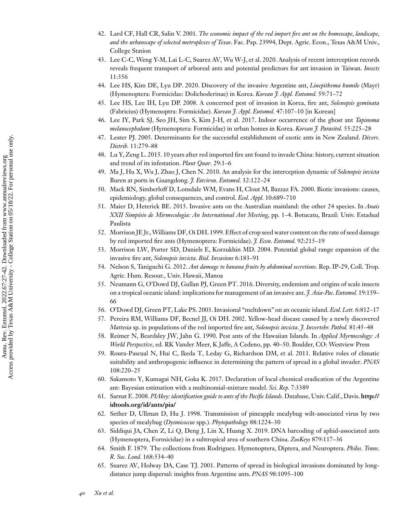- <span id="page-13-0"></span>42. Lard CF, Hall CR, Salin V. 2001. *The economic impact of the red import fire ant on the homescape, landscape, and the urbanscape of selected metroplexes of Texas*. Fac. Pap. 23994, Dept. Agric. Econ., Texas A&M Univ., College Station
- 43. Lee C-C, Weng Y-M, Lai L-C, Suarez AV, Wu W-J, et al. 2020. Analysis of recent interception records reveals frequent transport of arboreal ants and potential predictors for ant invasion in Taiwan. *Insects* 11:356
- 44. Lee HS, Kim DE, Lyu DP. 2020. Discovery of the invasive Argentine ant, *Linepithema humile* (Mayr) (Hymenoptera: Formicidae: Dolichoderinae) in Korea. *Korean J. Appl. Entomol.* 59:71–72
- 45. Lee HS, Lee IH, Lyu DP. 2008. A concerned pest of invasion in Korea, fire ant, *Solenopsis geminata* (Fabricius) (Hymenoptra: Formicidae). *Korean J. Appl. Entomol.* 47:107–10 [in Korean]
- 46. Lee IY, Park SJ, Seo JH, Sim S, Kim J-H, et al. 2017. Indoor occurrence of the ghost ant *Tapinoma melanocephalum* (Hymenoptera: Formicidae) in urban homes in Korea. *Korean J. Parasitol.* 55:225–28
- 47. Lester PJ. 2005. Determinants for the successful establishment of exotic ants in New Zealand. *Divers. Distrib.* 11:279–88
- 48. Lu Y, Zeng L. 2015. 10 years after red imported fire ant found to invade China: history, current situation and trend of its infestation. *Plant Quar.* 29:1–6
- 49. Ma J, Hu X, Wu J, Zhao J, Chen N. 2010. An analysis for the interception dynamic of *Solenopsis invicta* Buren at ports in Guangdong. *J. Environ. Entomol.* 32:122–24
- 50. Mack RN, Simberloff D, Lonsdale WM, Evans H, Clout M, Bazzaz FA. 2000. Biotic invasions: causes, epidemiology, global consequences, and control. *Ecol. Appl.* 10:689–710
- 51. Maier D, Heterick BE. 2015. Invasive ants on the Australian mainland: the other 24 species. In *Anais XXII Simpósio de Mirmecologia: An International Ant Meeting*, pp. 1–4. Botucatu, Brazil: Univ. Estadual Paulista
- 52. Morrison JE Jr.,Williams DF, Oi DH. 1999. Effect of crop seed water content on the rate of seed damage by red imported fire ants (Hymenoptera: Formicidae). *J. Econ. Entomol.* 92:215–19
- 53. Morrison LW, Porter SD, Daniels E, Korzukhin MD. 2004. Potential global range expansion of the invasive fire ant, *Solenopsis invicta*. *Biol. Invasions* 6:183–91
- 54. Nelson S, Taniguchi G. 2012. *Ant damage to banana fruits by abdominal secretions*. Rep. IP-29, Coll. Trop. Agric. Hum. Resour., Univ. Hawaii, Manoa
- 55. Neumann G, O'Dowd DJ, Gullan PJ, Green PT. 2016. Diversity, endemism and origins of scale insects on a tropical oceanic island: implications for management of an invasive ant. *J. Asia-Pac. Entomol.* 19:159– 66
- 56. O'Dowd DJ, Green PT, Lake PS. 2003. Invasional "meltdown" on an oceanic island. *Ecol. Lett.* 6:812–17
- 57. Pereira RM, Williams DF, Becnel JJ, Oi DH. 2002. Yellow-head disease caused by a newly discovered *Mattesia* sp. in populations of the red imported fire ant, *Solenopsis invicta*. *J. Invertebr. Pathol.* 81:45–48
- 58. Reimer N, Beardsley JW, Jahn G. 1990. Pest ants of the Hawaiian Islands. In *Applied Myrmecology: A World Perspective*, ed. RK Vander Meer, K Jaffe, A Cedeno, pp. 40–50. Boulder, CO: Westview Press
- 59. Roura-Pascual N, Hui C, Ikeda T, Leday G, Richardson DM, et al. 2011. Relative roles of climatic suitability and anthropogenic influence in determining the pattern of spread in a global invader. *PNAS* 108:220–25
- 60. Sakamoto Y, Kumagai NH, Goka K. 2017. Declaration of local chemical eradication of the Argentine ant: Bayesian estimation with a multinomial-mixture model. *Sci. Rep.* 7:3389
- 61. Sarnat E. 2008. *[PIAkey: identification guide to ants of the Pacific Islands](http://idtools.org/id/ants/pia/)*. Database, Univ. Calif., Davis. **http:// idtools.org/id/ants/pia/**
- 62. Sether D, Ullman D, Hu J. 1998. Transmission of pineapple mealybug wilt-associated virus by two species of mealybug (*Dysmicoccus* spp.). *Phytopathology* 88:1224–30
- 63. Siddiqui JA, Chen Z, Li Q, Deng J, Lin X, Huang X. 2019. DNA barcoding of aphid-associated ants (Hymenoptera, Formicidae) in a subtropical area of southern China. *ZooKeys* 879:117–36
- 64. Smith F. 1879. The collections from Rodriguez. Hymenoptera, Diptera, and Neuroptera. *Philos. Trans. R. Soc. Lond.* 168:534–40
- 65. Suarez AV, Holway DA, Case TJ. 2001. Patterns of spread in biological invasions dominated by longdistance jump dispersal: insights from Argentine ants. *PNAS* 98:1095–100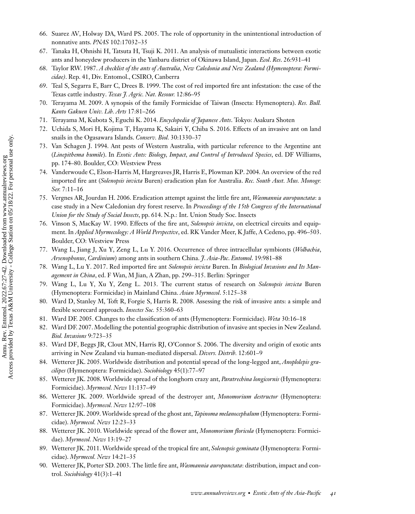- <span id="page-14-0"></span>66. Suarez AV, Holway DA, Ward PS. 2005. The role of opportunity in the unintentional introduction of nonnative ants. *PNAS* 102:17032–35
- 67. Tanaka H, Ohnishi H, Tatsuta H, Tsuji K. 2011. An analysis of mutualistic interactions between exotic ants and honeydew producers in the Yanbaru district of Okinawa Island, Japan. *Ecol*. *Res*. 26:931–41
- 68. Taylor RW. 1987. *A checklist of the ants of Australia, New Caledonia and New Zealand (Hymenoptera: Formicidae)*. Rep. 41, Div. Entomol., CSIRO, Canberra
- 69. Teal S, Segarra E, Barr C, Drees B. 1999. The cost of red imported fire ant infestation: the case of the Texas cattle industry. *Texas J. Agric. Nat. Resour.* 12:86–95
- 70. Terayama M. 2009. A synopsis of the family Formicidae of Taiwan (Insecta: Hymenoptera). *Res. Bull. Kanto Gakuen Univ. Lib. Arts* 17:81–266
- 71. Terayama M, Kubota S, Eguchi K. 2014. *Encyclopedia of Japanese Ants*. Tokyo: Asakura Shoten
- 72. Uchida S, Mori H, Kojima T, Hayama K, Sakairi Y, Chiba S. 2016. Effects of an invasive ant on land snails in the Ogasawara Islands. *Conserv. Biol.* 30:1330–37
- 73. Van Schagen J. 1994. Ant pests of Western Australia, with particular reference to the Argentine ant (*Linepithema humile*). In *Exotic Ants: Biology, Impact, and Control of Introduced Species*, ed. DF Williams, pp. 174–80. Boulder, CO: Westview Press
- 74. Vanderwoude C, Elson-Harris M, Hargreaves JR, Harris E, Plowman KP. 2004. An overview of the red imported fire ant (*Solenopsis invicta* Buren) eradication plan for Australia. *Rec. South Aust. Mus. Monogr. Ser.* 7:11–16
- 75. Vergnes AR, Jourdan H. 2006. Eradication attempt against the little fire ant, *Wasmannia auropunctata*: a case study in a New Caledonian dry forest reserve. In *Proceedings of the 15th Congress of the International Union for the Study of Social Insects*, pp. 614. N.p.: Int. Union Study Soc. Insects
- 76. Vinson S, MacKay W. 1990. Effects of the fire ant, *Solenopsis invicta*, on electrical circuits and equipment. In *Applied Myrmecology: A World Perspective*, ed. RK Vander Meer, K Jaffe, A Cedeno, pp. 496–503. Boulder, CO: Westview Press
- 77. Wang L, Jiang J, Xu Y, Zeng L, Lu Y. 2016. Occurrence of three intracellular symbionts (*Wolbachia*, *Arsenophonus*, *Cardinium*) among ants in southern China. *J*. *Asia-Pac*. *Entomol*. 19:981–88
- 78. Wang L, Lu Y. 2017. Red imported fire ant *Solenopsis invicta* Buren. In *Biological Invasions and Its Management in China*, ed. F Wan, M Jian, A Zhan, pp. 299–315. Berlin: Springer
- 79. Wang L, Lu Y, Xu Y, Zeng L. 2013. The current status of research on *Solenopsis invicta* Buren (Hymenoptera: Formicidae) in Mainland China. *Asian Myrmecol*. 5:125–38
- 80. Ward D, Stanley M, Toft R, Forgie S, Harris R. 2008. Assessing the risk of invasive ants: a simple and flexible scorecard approach. *Insectes Soc.* 55:360–63
- 81. Ward DF. 2005. Changes to the classification of ants (Hymenoptera: Formicidae). *Weta* 30:16–18
- 82. Ward DF. 2007. Modelling the potential geographic distribution of invasive ant species in New Zealand. *Biol. Invasions* 9:723–35
- 83. Ward DF, Beggs JR, Clout MN, Harris RJ, O'Connor S. 2006. The diversity and origin of exotic ants arriving in New Zealand via human-mediated dispersal. *Divers. Distrib.* 12:601–9
- 84. Wetterer JK. 2005. Worldwide distribution and potential spread of the long-legged ant, *Anoplolepis gracilipes* (Hymenoptera: Formicidae). *Sociobiology* 45(1):77–97
- 85. Wetterer JK. 2008. Worldwide spread of the longhorn crazy ant, *Paratrechina longicornis* (Hymenoptera: Formicidae). *Myrmecol. News* 11:137–49
- 86. Wetterer JK. 2009. Worldwide spread of the destroyer ant, *Monomorium destructor* (Hymenoptera: Formicidae). *Myrmecol. News* 12:97–108
- 87. Wetterer JK. 2009.Worldwide spread of the ghost ant,*Tapinoma melanocephalum* (Hymenoptera: Formicidae). *Myrmecol. News* 12:23–33
- 88. Wetterer JK. 2010. Worldwide spread of the flower ant, *Monomorium floricola* (Hymenoptera: Formicidae). *Myrmecol. News* 13:19–27
- 89. Wetterer JK. 2011. Worldwide spread of the tropical fire ant, *Solenopsis geminata* (Hymenoptera: Formicidae). *Myrmecol. News* 14:21–35
- 90. Wetterer JK, Porter SD. 2003. The little fire ant, *Wasmannia auropunctata*: distribution, impact and control. *Sociobiology* 41(3):1–41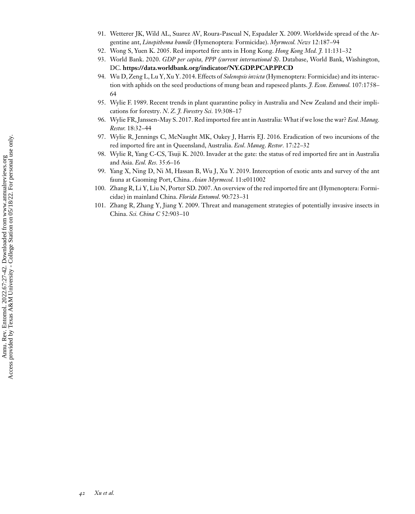- <span id="page-15-0"></span>91. Wetterer JK, Wild AL, Suarez AV, Roura-Pascual N, Espadaler X. 2009. Worldwide spread of the Argentine ant, *Linepithema humile* (Hymenoptera: Formicidae). *Myrmecol. News* 12:187–94
- 92. Wong S, Yuen K. 2005. Red imported fire ants in Hong Kong. *Hong Kong Med. J.* 11:131–32
- 93. World Bank. 2020. *GDP per capita, PPP (current international \$)*. Database, World Bank, Washington, DC. **<https://data.worldbank.org/indicator/NY.GDP.PCAP.PP.CD>**
- 94. Wu D, Zeng L, Lu Y, Xu Y. 2014. Effects of *Solenopsis invicta* (Hymenoptera: Formicidae) and its interaction with aphids on the seed productions of mung bean and rapeseed plants. *J. Econ. Entomol.* 107:1758– 64
- 95. Wylie F. 1989. Recent trends in plant quarantine policy in Australia and New Zealand and their implications for forestry. *N*. *Z. J. Forestry Sci.* 19:308–17
- 96. Wylie FR, Janssen-May S. 2017. Red imported fire ant in Australia: What if we lose the war? *Ecol.Manag. Restor.* 18:32–44
- 97. Wylie R, Jennings C, McNaught MK, Oakey J, Harris EJ. 2016. Eradication of two incursions of the red imported fire ant in Queensland, Australia. *Ecol*. *Manag*. *Restor.* 17:22–32
- 98. Wylie R, Yang C-CS, Tsuji K. 2020. Invader at the gate: the status of red imported fire ant in Australia and Asia. *Ecol. Res.* 35:6–16
- 99. Yang X, Ning D, Ni M, Hassan B, Wu J, Xu Y. 2019. Interception of exotic ants and survey of the ant fauna at Gaoming Port, China. *Asian Myrmecol*. 11:e011002
- 100. Zhang R, Li Y, Liu N, Porter SD. 2007. An overview of the red imported fire ant (Hymenoptera: Formicidae) in mainland China. *Florida Entomol*. 90:723–31
- 101. Zhang R, Zhang Y, Jiang Y. 2009. Threat and management strategies of potentially invasive insects in China. *Sci. China C* 52:903–10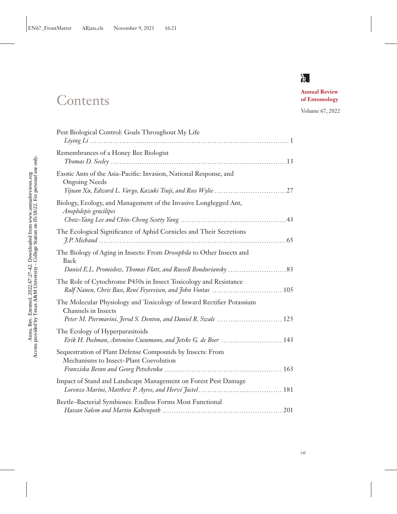## **Contents**

**Annual Review of Entomology**

Volume 67, 2022

| Pest Biological Control: Goals Throughout My Life                                                                                                              |
|----------------------------------------------------------------------------------------------------------------------------------------------------------------|
| Remembrances of a Honey Bee Biologist                                                                                                                          |
| Exotic Ants of the Asia-Pacific: Invasion, National Response, and<br><b>Ongoing Needs</b>                                                                      |
| Biology, Ecology, and Management of the Invasive Longlegged Ant,<br>Anoplolepis gracilipes                                                                     |
| The Ecological Significance of Aphid Cornicles and Their Secretions                                                                                            |
| The Biology of Aging in Insects: From Drosophila to Other Insects and<br><b>Back</b>                                                                           |
| The Role of Cytochrome P450s in Insect Toxicology and Resistance                                                                                               |
| The Molecular Physiology and Toxicology of Inward Rectifier Potassium<br>Channels in Insects<br>Peter M. Piermarini, Jerod S. Denton, and Daniel R. Swale  125 |
| The Ecology of Hyperparasitoids<br>Erik H. Poelman, Antonino Cusumano, and Jetske G. de Boer  143                                                              |
| Sequestration of Plant Defense Compounds by Insects: From<br>Mechanisms to Insect-Plant Coevolution                                                            |
| Impact of Stand and Landscape Management on Forest Pest Damage                                                                                                 |
| Beetle-Bacterial Symbioses: Endless Forms Most Functional                                                                                                      |